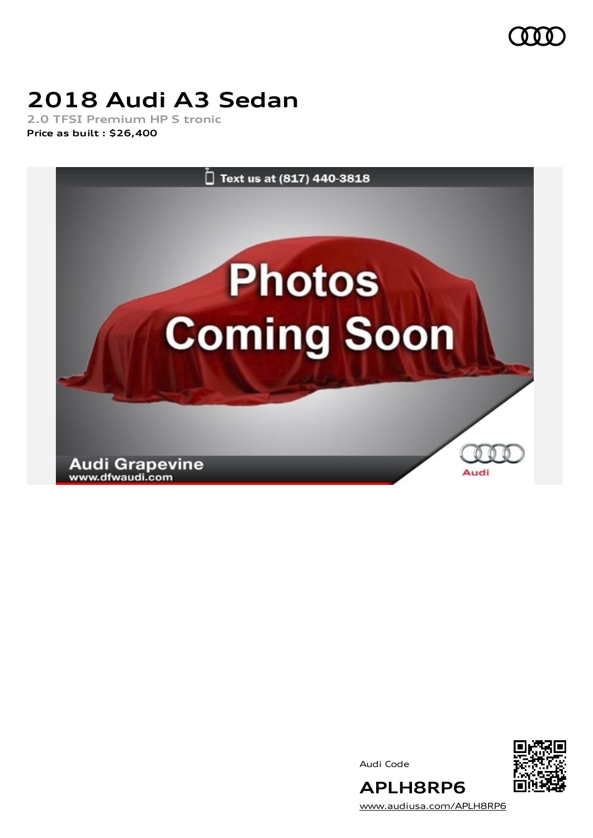

## **2018 Audi A3 Sedan**

**2.0 TFSI Premium HP S tronic Price as built [:](#page-10-0) \$26,400**



Audi Code



[www.audiusa.com/APLH8RP6](https://www.audiusa.com/APLH8RP6)

**APLH8RP6**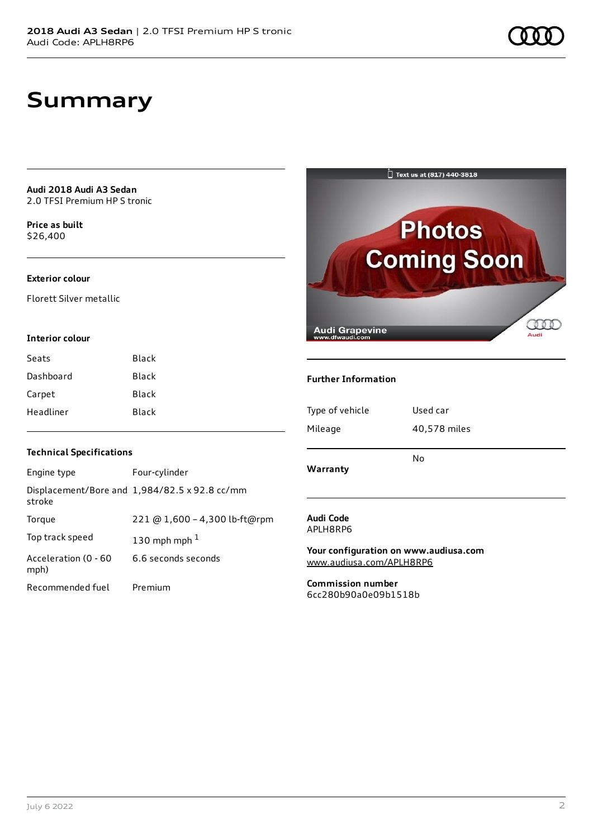## **Summary**

**Audi 2018 Audi A3 Sedan** 2.0 TFSI Premium HP S tronic

**Price as buil[t](#page-10-0)** \$26,400

### **Exterior colour**

Florett Silver metallic

### **Interior colour**

| Seats     | Black |
|-----------|-------|
| Dashboard | Black |
| Carpet    | Black |
| Headliner | Black |



### **Further Information**

| Type of vehicle | Used car     |
|-----------------|--------------|
| Mileage         | 40,578 miles |
| Warranty        | No           |
|                 |              |

### **Technical Specifications**

| Engine type                  | Four-cylinder                                 |
|------------------------------|-----------------------------------------------|
| stroke                       | Displacement/Bore and 1,984/82.5 x 92.8 cc/mm |
| Torque                       | 221 @ 1,600 - 4,300 lb-ft@rpm                 |
| Top track speed              | 130 mph mph $1$                               |
| Acceleration (0 - 60<br>mph) | 6.6 seconds seconds                           |
| Recommended fuel             | Premium                                       |

### **Audi Code** APLH8RP6

**Your configuration on www.audiusa.com** [www.audiusa.com/APLH8RP6](https://www.audiusa.com/APLH8RP6)

**Commission number** 6cc280b90a0e09b1518b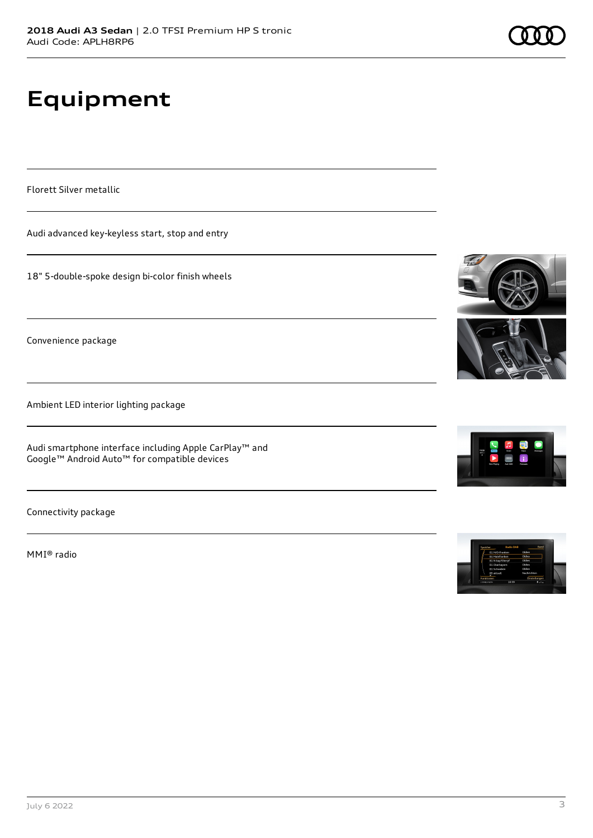# **Equipment**

Florett Silver metallic

Audi advanced key-keyless start, stop and entry

18" 5-double-spoke design bi-color finish wheels

Convenience package

Ambient LED interior lighting package

Audi smartphone interface including Apple CarPlay™ and Google™ Android Auto™ for compatible devices

Connectivity package

MMI® radio









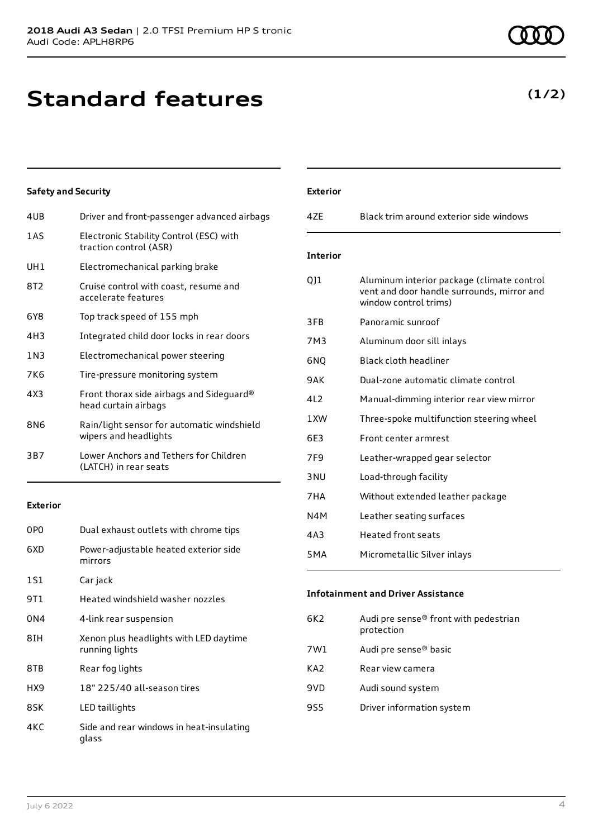## **Standard features**

### 4UB Driver and front-passenger advanced airbags

**Safety and Security**

| 1 A S           | Electronic Stability Control (ESC) with<br>traction control (ASR)   |
|-----------------|---------------------------------------------------------------------|
| UH <sub>1</sub> | Electromechanical parking brake                                     |
| 8T2             | Cruise control with coast, resume and<br>accelerate features        |
| 6Y8             | Top track speed of 155 mph                                          |
| 4H3             | Integrated child door locks in rear doors                           |
| 1 N 3           | Electromechanical power steering                                    |
| 7K6             | Tire-pressure monitoring system                                     |
| 4X3             | Front thorax side airbags and Sideguard®<br>head curtain airbags    |
| 8N6             | Rain/light sensor for automatic windshield<br>wipers and headlights |
| 3B7             | Lower Anchors and Tethers for Children<br>(LATCH) in rear seats     |

### **Exterior**

| 0P <sub>0</sub> | Dual exhaust outlets with chrome tips                    |
|-----------------|----------------------------------------------------------|
| 6XD             | Power-adjustable heated exterior side<br>mirrors         |
| 1S1             | Car jack                                                 |
| 9T1             | Heated windshield washer nozzles                         |
| 0N4             | 4-link rear suspension                                   |
| 8TH             | Xenon plus headlights with LED daytime<br>running lights |
| 8TB             | Rear fog lights                                          |
| HX9             | 18" 225/40 all-season tires                              |
| 8SK             | LED taillights                                           |
| 4KC             | Side and rear windows in heat-insulating<br>glass        |

| <b>Exterior</b> |                                                                                                                   |
|-----------------|-------------------------------------------------------------------------------------------------------------------|
| 47F             | Black trim around exterior side windows                                                                           |
| <b>Interior</b> |                                                                                                                   |
| 011             | Aluminum interior package (climate control<br>vent and door handle surrounds, mirror and<br>window control trims) |
| 3FB             | Panoramic sunroof                                                                                                 |
| 7M3             | Aluminum door sill inlays                                                                                         |
| 6NQ             | Black cloth headliner                                                                                             |
| 9AK             | Dual-zone automatic climate control                                                                               |
| 4L2             | Manual-dimming interior rear view mirror                                                                          |
| 1 XW            | Three-spoke multifunction steering wheel                                                                          |
| 6E3             | Front center armrest                                                                                              |
| 7F <sub>9</sub> | Leather-wrapped gear selector                                                                                     |
| 3NU             | Load-through facility                                                                                             |
| 7HA             | Without extended leather package                                                                                  |
| N4M             | Leather seating surfaces                                                                                          |
| 4 A 3           | Heated front seats                                                                                                |
| 5MA             | Micrometallic Silver inlays                                                                                       |

### **Infotainment and Driver Assistance**

| 6K2 | Audi pre sense® front with pedestrian<br>protection |
|-----|-----------------------------------------------------|
| 7W1 | Audi pre sense <sup>®</sup> basic                   |
| KA2 | Rear view camera                                    |
| 9VD | Audi sound system                                   |
| 9S5 | Driver information system                           |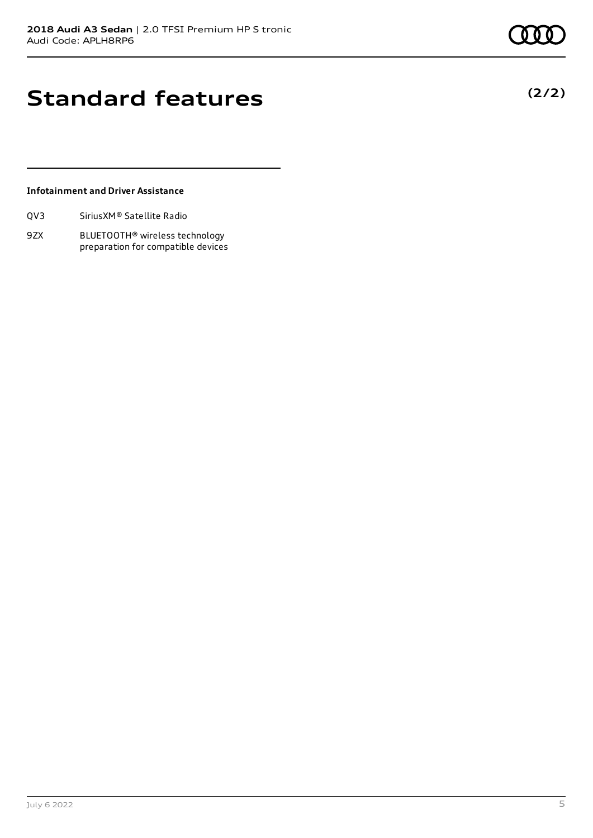**(2/2)**

## **Standard features**

### **Infotainment and Driver Assistance**

| Sirius XM <sup>®</sup> Satellite Radio<br>QV3 |
|-----------------------------------------------|
|-----------------------------------------------|

9ZX BLUETOOTH® wireless technology preparation for compatible devices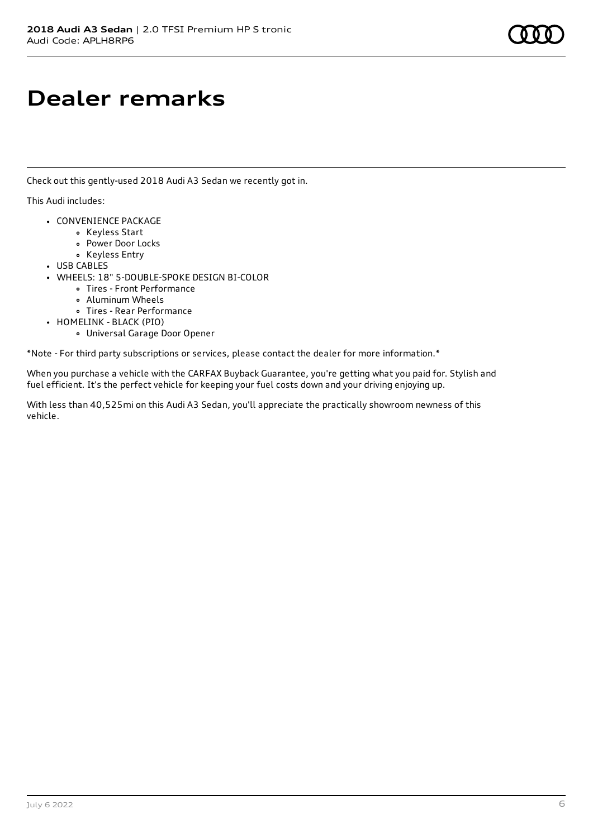## **Dealer remarks**

Check out this gently-used 2018 Audi A3 Sedan we recently got in.

This Audi includes:

- CONVENIENCE PACKAGE
	- Keyless Start
	- Power Door Locks
	- Keyless Entry
- USB CABLES
- WHEELS: 18" 5-DOUBLE-SPOKE DESIGN BI-COLOR
	- Tires Front Performance
	- Aluminum Wheels
	- Tires Rear Performance
- HOMELINK BLACK (PIO)
	- Universal Garage Door Opener

\*Note - For third party subscriptions or services, please contact the dealer for more information.\*

When you purchase a vehicle with the CARFAX Buyback Guarantee, you're getting what you paid for. Stylish and fuel efficient. It's the perfect vehicle for keeping your fuel costs down and your driving enjoying up.

With less than 40,525mi on this Audi A3 Sedan, you'll appreciate the practically showroom newness of this vehicle.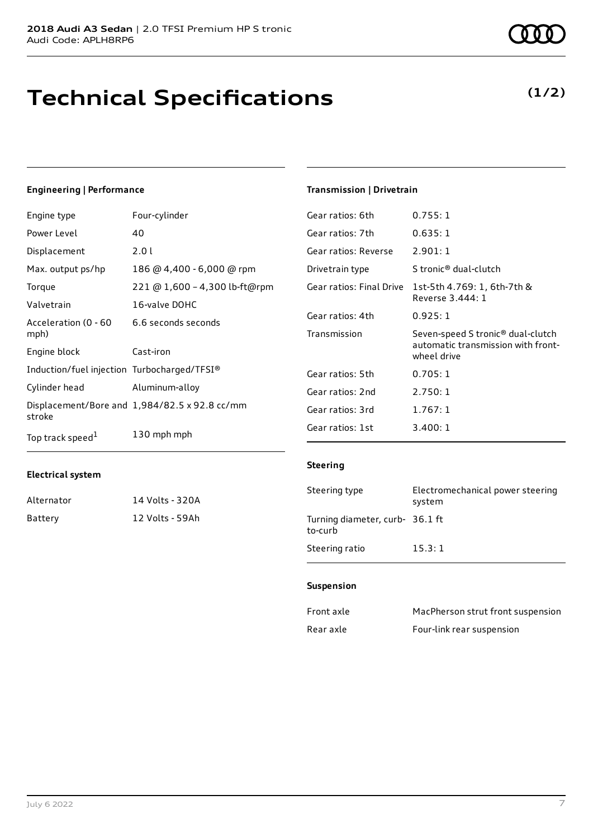## **Technical Specifications**

#### July 6 2022 7

## **Engineering | Performance**

| Engine type                                 | Four-cylinder                                 | Gear ratios: 6th         | 0.755:1                     |
|---------------------------------------------|-----------------------------------------------|--------------------------|-----------------------------|
| Power Level                                 | 40                                            | Gear ratios: 7th         | 0.635:1                     |
| Displacement                                | 2.01                                          | Gear ratios: Reverse     | 2.901:1                     |
| Max. output ps/hp                           | 186 @ 4,400 - 6,000 @ rpm                     | Drivetrain type          | S tronic <sup>®</sup> du    |
| Torque                                      | 221 @ 1,600 - 4,300 lb-ft@rpm                 | Gear ratios: Final Drive | 1st-5th 4.7                 |
| Valvetrain                                  | 16-valve DOHC                                 |                          | Reverse 3.4                 |
| Acceleration (0 - 60                        | 6.6 seconds seconds                           | Gear ratios: 4th         | 0.925:1                     |
| mph)                                        |                                               | Transmission             | Seven-speed                 |
|                                             |                                               |                          |                             |
| Engine block                                | Cast-iron                                     |                          | automatic ti<br>wheel drive |
| Induction/fuel injection Turbocharged/TFSI® |                                               | Gear ratios: 5th         | 0.705:1                     |
| Cylinder head                               | Aluminum-alloy                                | Gear ratios: 2nd         | 2.750:1                     |
| stroke                                      | Displacement/Bore and 1,984/82.5 x 92.8 cc/mm | Gear ratios: 3rd         | 1.767:1                     |
| Top track speed <sup>1</sup>                | 130 mph mph                                   | Gear ratios: 1st         | 3.400:1                     |

### **Electrical system**

| Alternator | 14 Volts - 320A |
|------------|-----------------|
| Battery    | 12 Volts - 59Ah |

### **Transmission | Drivetrain**

| Gear ratios: 6th     | 0.755:1                                                                                            |
|----------------------|----------------------------------------------------------------------------------------------------|
| Gear ratios: 7th     | 0.635:1                                                                                            |
| Gear ratios: Reverse | 2.901:1                                                                                            |
| Drivetrain type      | S tronic <sup>®</sup> dual-clutch                                                                  |
|                      | Gear ratios: Final Drive 1st-5th 4.769: 1, 6th-7th &<br>Reverse 3.444: 1                           |
| Gear ratios: 4th     | 0.925:1                                                                                            |
| Transmission         | Seven-speed S tronic <sup>®</sup> dual-clutch<br>automatic transmission with front-<br>wheel drive |
| Gear ratios: 5th     | 0.705:1                                                                                            |
| Gear ratios: 2nd     | 2.750:1                                                                                            |
| Gear ratios: 3rd     | 1.767:1                                                                                            |
| Gear ratios: 1st     | 3.400:1                                                                                            |

### **Steering**

| Steering type                              | Electromechanical power steering<br>system |
|--------------------------------------------|--------------------------------------------|
| Turning diameter, curb- 36.1 ft<br>to-curb |                                            |
| Steering ratio                             | 15.3:1                                     |

#### **Suspension**

| Front axle | MacPherson strut front suspension |
|------------|-----------------------------------|
| Rear axle  | Four-link rear suspension         |

**(1/2)**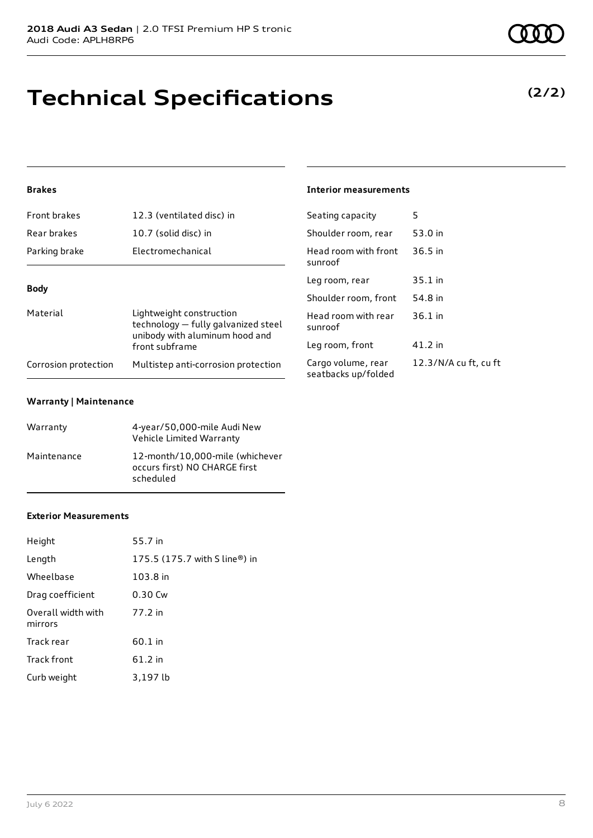## **Technical Specifications**

### **Brakes**

| Front brakes                       | 12.3 (ventilated disc) in                                                                         | Seating capacity                       |  |
|------------------------------------|---------------------------------------------------------------------------------------------------|----------------------------------------|--|
| Rear brakes                        | 10.7 (solid disc) in                                                                              | Shoulder room, re                      |  |
| Parking brake<br>Electromechanical |                                                                                                   | Head room with f<br>sunroof            |  |
| <b>Body</b>                        |                                                                                                   | Leg room, rear                         |  |
|                                    |                                                                                                   |                                        |  |
| Material                           | Lightweight construction<br>technology - fully galvanized steel<br>unibody with aluminum hood and | Head room with r<br>sunroof            |  |
|                                    | front subframe                                                                                    | Leg room, front                        |  |
| Corrosion protection               | Multistep anti-corrosion protection                                                               | Cargo volume, rea<br>seatbacks un/fold |  |

### **Warranty | Maintenance**

| Warranty    | 4-year/50,000-mile Audi New<br>Vehicle Limited Warranty                       |
|-------------|-------------------------------------------------------------------------------|
| Maintenance | 12-month/10,000-mile (whichever<br>occurs first) NO CHARGE first<br>scheduled |

### **Exterior Measurements**

| Height                        | 55.7 in                       |
|-------------------------------|-------------------------------|
| Length                        | 175.5 (175.7 with S line®) in |
| Wheelbase                     | 103.8 in                      |
| Drag coefficient              | 0.30 Cw                       |
| Overall width with<br>mirrors | 77.2 in                       |
| Track rear                    | 60.1 in                       |
| <b>Track front</b>            | 61.2 in                       |
| Curb weight                   | 3,197 lb                      |

### **Interior measurements**

| Seating capacity                          | 5                     |
|-------------------------------------------|-----------------------|
| Shoulder room, rear                       | 53.0 in               |
| Head room with front<br>sunroof           | $36.5$ in             |
| Leg room, rear                            | $35.1$ in             |
| Shoulder room, front                      | 54.8 in               |
| Head room with rear<br>sunroof            | $36.1$ in             |
| Leg room, front                           | 41.2 in               |
| Cargo volume, rear<br>seatbacks up/folded | 12.3/N/A cu ft, cu ft |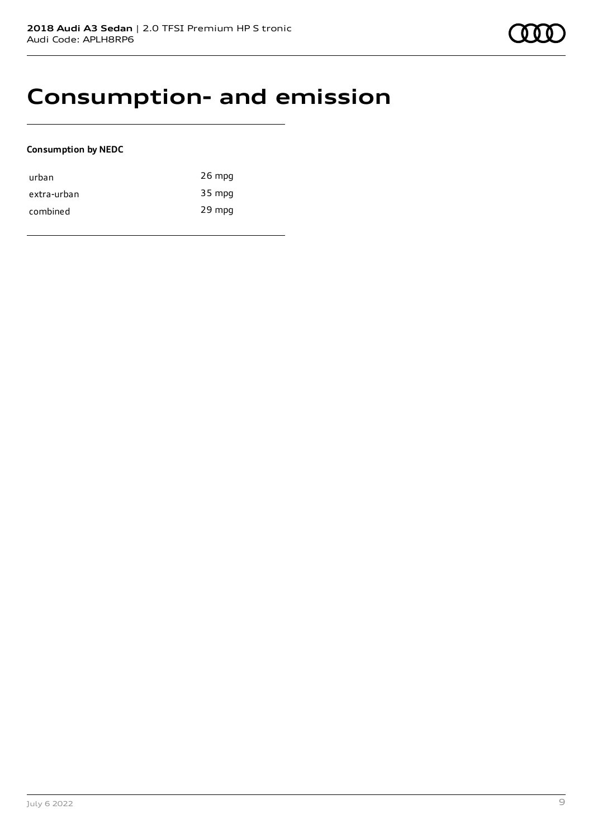## **Consumption- and emission**

### **Consumption by NEDC**

| urban       | $26$ mpg |
|-------------|----------|
| extra-urban | 35 mpg   |
| combined    | 29 mpg   |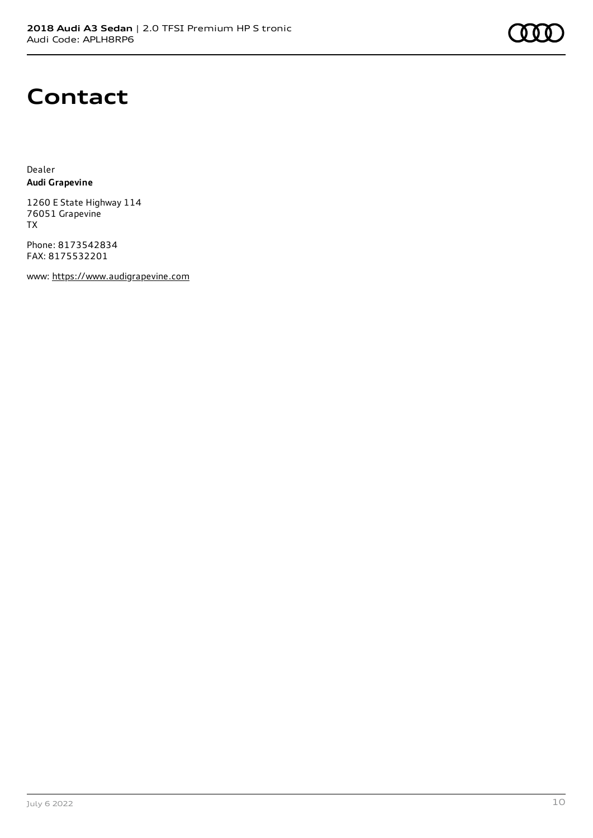## **Contact**

Dealer **Audi Grapevine**

1260 E State Highway 114 76051 Grapevine TX

Phone: 8173542834 FAX: 8175532201

www: [https://www.audigrapevine.com](https://www.audigrapevine.com/)